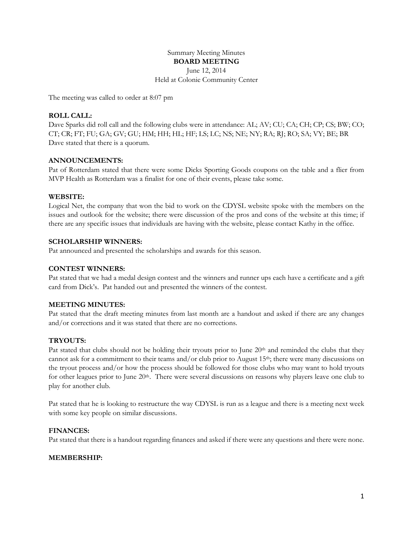# Summary Meeting Minutes **BOARD MEETING** June 12, 2014

Held at Colonie Community Center

The meeting was called to order at 8:07 pm

# **ROLL CALL:**

Dave Sparks did roll call and the following clubs were in attendance: AL; AV; CU; CA; CH; CP; CS; BW; CO; CT; CR; FT; FU; GA; GV; GU; HM; HH; HL; HF; LS; LC; NS; NE; NY; RA; RJ; RO; SA; VY; BE; BR Dave stated that there is a quorum.

#### **ANNOUNCEMENTS:**

Pat of Rotterdam stated that there were some Dicks Sporting Goods coupons on the table and a flier from MVP Health as Rotterdam was a finalist for one of their events, please take some.

#### **WEBSITE:**

Logical Net, the company that won the bid to work on the CDYSL website spoke with the members on the issues and outlook for the website; there were discussion of the pros and cons of the website at this time; if there are any specific issues that individuals are having with the website, please contact Kathy in the office.

# **SCHOLARSHIP WINNERS:**

Pat announced and presented the scholarships and awards for this season.

## **CONTEST WINNERS:**

Pat stated that we had a medal design contest and the winners and runner ups each have a certificate and a gift card from Dick's. Pat handed out and presented the winners of the contest.

#### **MEETING MINUTES:**

Pat stated that the draft meeting minutes from last month are a handout and asked if there are any changes and/or corrections and it was stated that there are no corrections.

#### **TRYOUTS:**

Pat stated that clubs should not be holding their tryouts prior to June 20<sup>th</sup> and reminded the clubs that they cannot ask for a commitment to their teams and/or club prior to August  $15<sup>th</sup>$ ; there were many discussions on the tryout process and/or how the process should be followed for those clubs who may want to hold tryouts for other leagues prior to June 20<sup>th</sup>. There were several discussions on reasons why players leave one club to play for another club.

Pat stated that he is looking to restructure the way CDYSL is run as a league and there is a meeting next week with some key people on similar discussions.

#### **FINANCES:**

Pat stated that there is a handout regarding finances and asked if there were any questions and there were none.

#### **MEMBERSHIP:**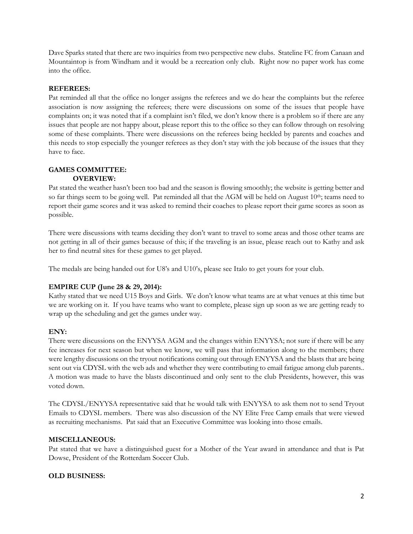Dave Sparks stated that there are two inquiries from two perspective new clubs. Stateline FC from Canaan and Mountaintop is from Windham and it would be a recreation only club. Right now no paper work has come into the office.

## **REFEREES:**

Pat reminded all that the office no longer assigns the referees and we do hear the complaints but the referee association is now assigning the referees; there were discussions on some of the issues that people have complaints on; it was noted that if a complaint isn't filed, we don't know there is a problem so if there are any issues that people are not happy about, please report this to the office so they can follow through on resolving some of these complaints. There were discussions on the referees being heckled by parents and coaches and this needs to stop especially the younger referees as they don't stay with the job because of the issues that they have to face.

#### **GAMES COMMITTEE: OVERVIEW:**

Pat stated the weather hasn't been too bad and the season is flowing smoothly; the website is getting better and so far things seem to be going well. Pat reminded all that the AGM will be held on August 10<sup>th</sup>; teams need to report their game scores and it was asked to remind their coaches to please report their game scores as soon as possible.

There were discussions with teams deciding they don't want to travel to some areas and those other teams are not getting in all of their games because of this; if the traveling is an issue, please reach out to Kathy and ask her to find neutral sites for these games to get played.

The medals are being handed out for U8's and U10's, please see Italo to get yours for your club.

# **EMPIRE CUP (June 28 & 29, 2014):**

Kathy stated that we need U15 Boys and Girls. We don't know what teams are at what venues at this time but we are working on it. If you have teams who want to complete, please sign up soon as we are getting ready to wrap up the scheduling and get the games under way.

#### **ENY:**

There were discussions on the ENYYSA AGM and the changes within ENYYSA; not sure if there will be any fee increases for next season but when we know, we will pass that information along to the members; there were lengthy discussions on the tryout notifications coming out through ENYYSA and the blasts that are being sent out via CDYSL with the web ads and whether they were contributing to email fatigue among club parents.. A motion was made to have the blasts discontinued and only sent to the club Presidents, however, this was voted down.

The CDYSL/ENYYSA representative said that he would talk with ENYYSA to ask them not to send Tryout Emails to CDYSL members. There was also discussion of the NY Elite Free Camp emails that were viewed as recruiting mechanisms. Pat said that an Executive Committee was looking into those emails.

#### **MISCELLANEOUS:**

Pat stated that we have a distinguished guest for a Mother of the Year award in attendance and that is Pat Dowse, President of the Rotterdam Soccer Club.

#### **OLD BUSINESS:**